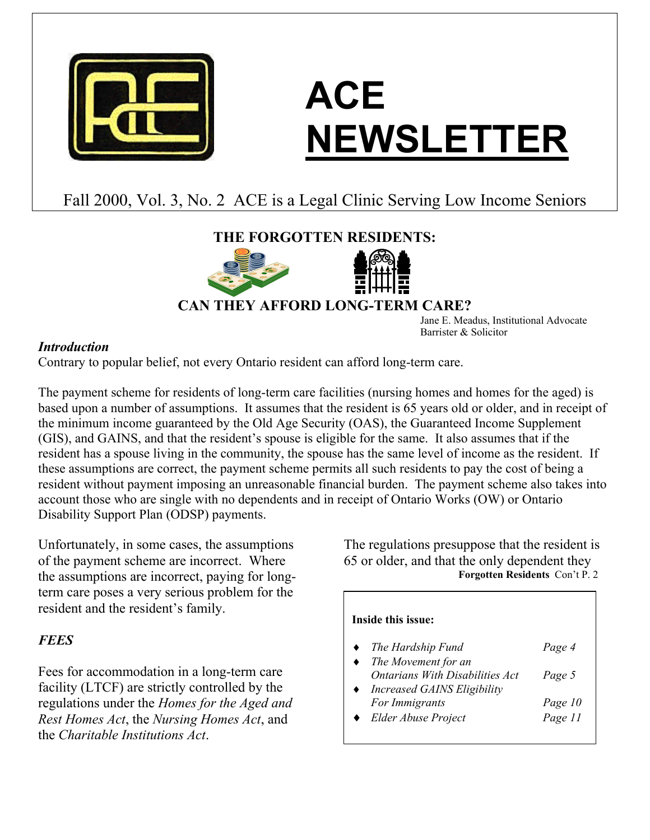

# **ACE NEWSLETTER**

### Fall 2000, Vol. 3, No. 2 ACE is a Legal Clinic Serving Low Income Seniors

### **THE FORGOTTEN RESIDENTS:**



**CAN THEY AFFORD LONG-TERM CARE?** 

Jane E. Meadus, Institutional Advocate Barrister & Solicitor

### *Introduction*

Contrary to popular belief, not every Ontario resident can afford long-term care.

The payment scheme for residents of long-term care facilities (nursing homes and homes for the aged) is based upon a number of assumptions. It assumes that the resident is 65 years old or older, and in receipt of the minimum income guaranteed by the Old Age Security (OAS), the Guaranteed Income Supplement (GIS), and GAINS, and that the resident's spouse is eligible for the same. It also assumes that if the resident has a spouse living in the community, the spouse has the same level of income as the resident. If these assumptions are correct, the payment scheme permits all such residents to pay the cost of being a resident without payment imposing an unreasonable financial burden. The payment scheme also takes into account those who are single with no dependents and in receipt of Ontario Works (OW) or Ontario Disability Support Plan (ODSP) payments.

Unfortunately, in some cases, the assumptions of the payment scheme are incorrect. Where the assumptions are incorrect, paying for longterm care poses a very serious problem for the resident and the resident's family.

### *FEES*

Fees for accommodation in a long-term care facility (LTCF) are strictly controlled by the regulations under the *Homes for the Aged and Rest Homes Act*, the *Nursing Homes Act*, and the *Charitable Institutions Act*.

The regulations presuppose that the resident is 65 or older, and that the only dependent they **Forgotten Residents** Con't P. 2

### **Inside this issue:**

| The Hardship Fund                      | Page 4  |
|----------------------------------------|---------|
| The Movement for an                    |         |
| <b>Ontarians With Disabilities Act</b> | Page 5  |
| <b>Increased GAINS Eligibility</b>     |         |
| For Immigrants                         | Page 10 |
| Elder Abuse Project                    | Page 11 |
|                                        |         |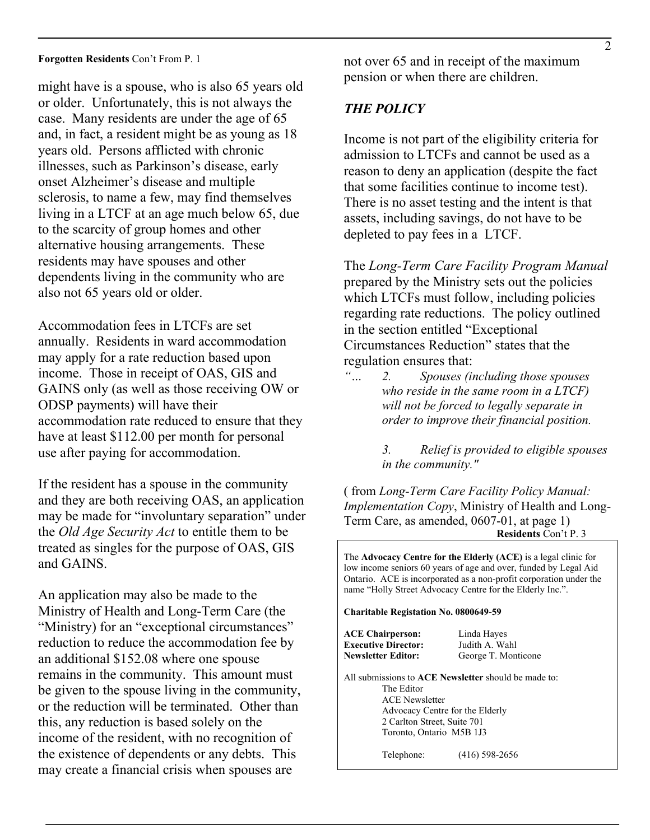### **Forgotten Residents** Con't From P. 1

might have is a spouse, who is also 65 years old or older. Unfortunately, this is not always the case. Many residents are under the age of 65 and, in fact, a resident might be as young as 18 years old. Persons afflicted with chronic illnesses, such as Parkinson's disease, early onset Alzheimer's disease and multiple sclerosis, to name a few, may find themselves living in a LTCF at an age much below 65, due to the scarcity of group homes and other alternative housing arrangements. These residents may have spouses and other dependents living in the community who are also not 65 years old or older.

Accommodation fees in LTCFs are set annually. Residents in ward accommodation may apply for a rate reduction based upon income. Those in receipt of OAS, GIS and GAINS only (as well as those receiving OW or ODSP payments) will have their accommodation rate reduced to ensure that they have at least \$112.00 per month for personal use after paying for accommodation.

If the resident has a spouse in the community and they are both receiving OAS, an application may be made for "involuntary separation" under the *Old Age Security Act* to entitle them to be treated as singles for the purpose of OAS, GIS and GAINS.

An application may also be made to the Ministry of Health and Long-Term Care (the "Ministry) for an "exceptional circumstances" reduction to reduce the accommodation fee by an additional \$152.08 where one spouse remains in the community. This amount must be given to the spouse living in the community, or the reduction will be terminated. Other than this, any reduction is based solely on the income of the resident, with no recognition of the existence of dependents or any debts. This may create a financial crisis when spouses are

not over 65 and in receipt of the maximum pension or when there are children.

### *THE POLICY*

Income is not part of the eligibility criteria for admission to LTCFs and cannot be used as a reason to deny an application (despite the fact that some facilities continue to income test). There is no asset testing and the intent is that assets, including savings, do not have to be depleted to pay fees in a LTCF.

The *Long-Term Care Facility Program Manual* prepared by the Ministry sets out the policies which LTCFs must follow, including policies regarding rate reductions. The policy outlined in the section entitled "Exceptional Circumstances Reduction" states that the regulation ensures that:

*"… 2. Spouses (including those spouses who reside in the same room in a LTCF) will not be forced to legally separate in order to improve their financial position.* 

> *3. Relief is provided to eligible spouses in the community."*

( from *Long-Term Care Facility Policy Manual: Implementation Copy*, Ministry of Health and Long-Term Care, as amended, 0607-01, at page 1) **Residents** Con't P. 3

The **Advocacy Centre for the Elderly (ACE)** is a legal clinic for low income seniors 60 years of age and over, funded by Legal Aid Ontario. ACE is incorporated as a non-profit corporation under the name "Holly Street Advocacy Centre for the Elderly Inc.".

**Charitable Registation No. 0800649-59** 

| <b>ACE Chairperson:</b><br><b>Executive Director:</b>       | Linda Hayes<br>Judith A. Wahl<br>George T. Monticone |  |  |
|-------------------------------------------------------------|------------------------------------------------------|--|--|
| Newsletter Editor:                                          |                                                      |  |  |
| All submissions to <b>ACE</b> Newsletter should be made to: |                                                      |  |  |
| The Editor                                                  |                                                      |  |  |
|                                                             | <b>ACE Newsletter</b>                                |  |  |
|                                                             | Advocacy Centre for the Elderly                      |  |  |
| 2 Carlton Street, Suite 701                                 |                                                      |  |  |
| Toronto, Ontario M5B 1J3                                    |                                                      |  |  |
| Telephone:                                                  | $(416)$ 598-2656                                     |  |  |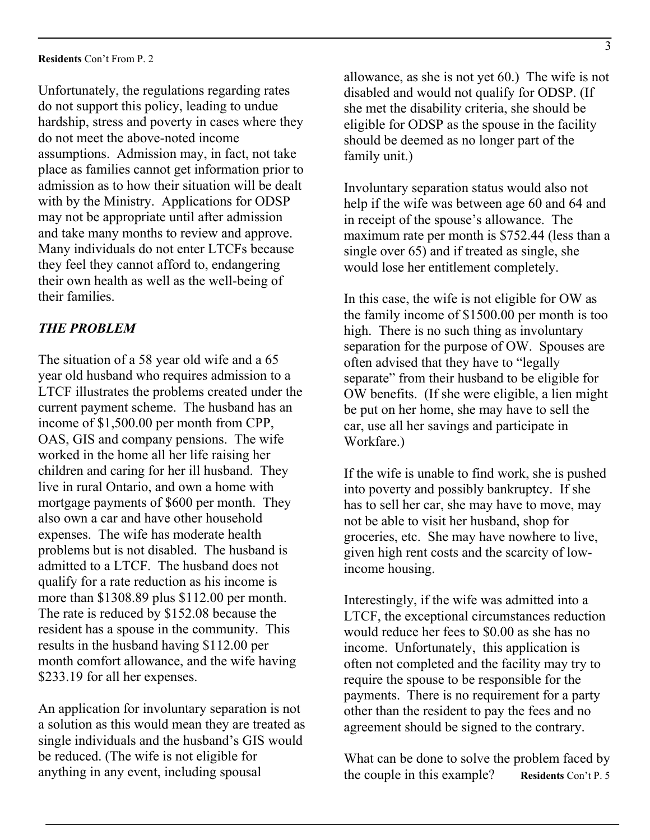### **Residents** Con't From P. 2

do not support this policy, leading to undue hardship, stress and poverty in cases where they do not meet the above-noted income assumptions. Admission may, in fact, not take place as families cannot get information prior to admission as to how their situation will be dealt with by the Ministry. Applications for ODSP may not be appropriate until after admission and take many months to review and approve. Many individuals do not enter LTCFs because they feel they cannot afford to, endangering their own health as well as the well-being of their families.

### *THE PROBLEM*

The situation of a 58 year old wife and a 65 year old husband who requires admission to a LTCF illustrates the problems created under the current payment scheme. The husband has an income of \$1,500.00 per month from CPP, OAS, GIS and company pensions. The wife worked in the home all her life raising her children and caring for her ill husband. They live in rural Ontario, and own a home with mortgage payments of \$600 per month. They also own a car and have other household expenses. The wife has moderate health problems but is not disabled. The husband is admitted to a LTCF. The husband does not qualify for a rate reduction as his income is more than \$1308.89 plus \$112.00 per month. The rate is reduced by \$152.08 because the resident has a spouse in the community. This results in the husband having \$112.00 per month comfort allowance, and the wife having \$233.19 for all her expenses.

An application for involuntary separation is not a solution as this would mean they are treated as single individuals and the husband's GIS would be reduced. (The wife is not eligible for anything in any event, including spousal

allowance, as she is not yet 60.) The wife is not Unfortunately, the regulations regarding rates disabled and would not qualify for ODSP. (If she met the disability criteria, she should be eligible for ODSP as the spouse in the facility should be deemed as no longer part of the family unit.)

> Involuntary separation status would also not help if the wife was between age 60 and 64 and in receipt of the spouse's allowance. The maximum rate per month is \$752.44 (less than a single over 65) and if treated as single, she would lose her entitlement completely.

> In this case, the wife is not eligible for OW as the family income of \$1500.00 per month is too high. There is no such thing as involuntary separation for the purpose of OW. Spouses are often advised that they have to "legally separate" from their husband to be eligible for OW benefits. (If she were eligible, a lien might be put on her home, she may have to sell the car, use all her savings and participate in Workfare.)

> If the wife is unable to find work, she is pushed into poverty and possibly bankruptcy. If she has to sell her car, she may have to move, may not be able to visit her husband, shop for groceries, etc. She may have nowhere to live, given high rent costs and the scarcity of lowincome housing.

> Interestingly, if the wife was admitted into a LTCF, the exceptional circumstances reduction would reduce her fees to \$0.00 as she has no income. Unfortunately, this application is often not completed and the facility may try to require the spouse to be responsible for the payments. There is no requirement for a party other than the resident to pay the fees and no agreement should be signed to the contrary.

What can be done to solve the problem faced by the couple in this example? **Residents** Con't P. 5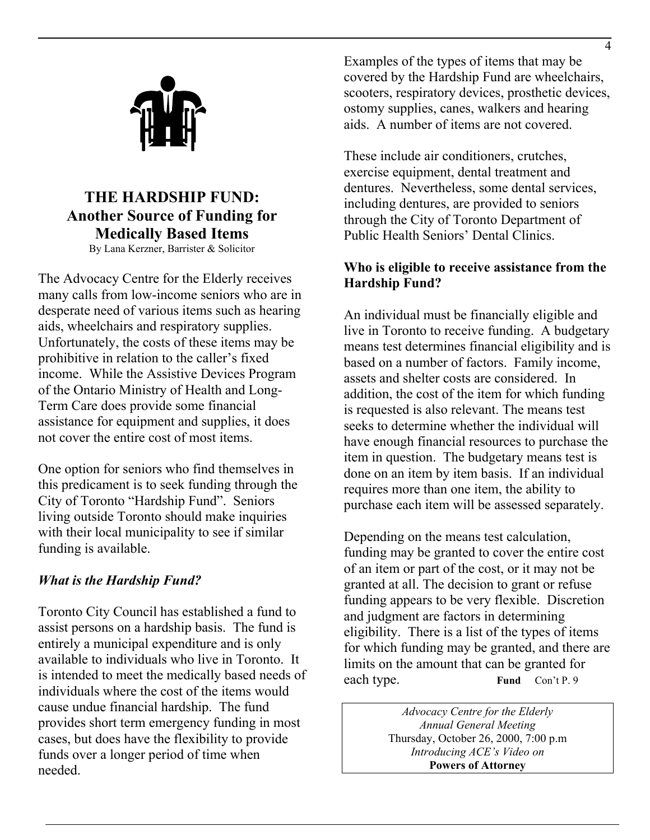

### **THE HARDSHIP FUND: Another Source of Funding for Medically Based Items**  By Lana Kerzner, Barrister & Solicitor

The Advocacy Centre for the Elderly receives **Hardship Fund?** many calls from low-income seniors who are in desperate need of various items such as hearing aids, wheelchairs and respiratory supplies. Unfortunately, the costs of these items may be prohibitive in relation to the caller's fixed income. While the Assistive Devices Program of the Ontario Ministry of Health and Long-Term Care does provide some financial assistance for equipment and supplies, it does not cover the entire cost of most items.

One option for seniors who find themselves in this predicament is to seek funding through the City of Toronto "Hardship Fund". Seniors living outside Toronto should make inquiries with their local municipality to see if similar with their local municipality to see if similar<br>funding on the means test calculation,<br>funding may be granted to cover the entire-

### *What is the Hardship Fund?*

Toronto City Council has established a fund to assist persons on a hardship basis. The fund is entirely a municipal expenditure and is only available to individuals who live in Toronto. It is intended to meet the medically based needs of individuals where the cost of the items would cause undue financial hardship. The fund provides short term emergency funding in most cases, but does have the flexibility to provide funds over a longer period of time when needed.

Examples of the types of items that may be covered by the Hardship Fund are wheelchairs, scooters, respiratory devices, prosthetic devices, ostomy supplies, canes, walkers and hearing aids. A number of items are not covered.

These include air conditioners, crutches, exercise equipment, dental treatment and dentures. Nevertheless, some dental services, including dentures, are provided to seniors through the City of Toronto Department of Public Health Seniors' Dental Clinics.

## **Who is eligible to receive assistance from the**

An individual must be financially eligible and live in Toronto to receive funding. A budgetary means test determines financial eligibility and is based on a number of factors. Family income, assets and shelter costs are considered. In addition, the cost of the item for which funding is requested is also relevant. The means test seeks to determine whether the individual will have enough financial resources to purchase the item in question. The budgetary means test is done on an item by item basis. If an individual requires more than one item, the ability to purchase each item will be assessed separately.

funding may be granted to cover the entire cost of an item or part of the cost, or it may not be granted at all. The decision to grant or refuse funding appears to be very flexible. Discretion and judgment are factors in determining eligibility. There is a list of the types of items for which funding may be granted, and there are limits on the amount that can be granted for each type. **Fund** Con't P. 9

> *Advocacy Centre for the Elderly Annual General Meeting*  Thursday, October 26, 2000, 7:00 p.m *Introducing ACE's Video on*  **Powers of Attorney**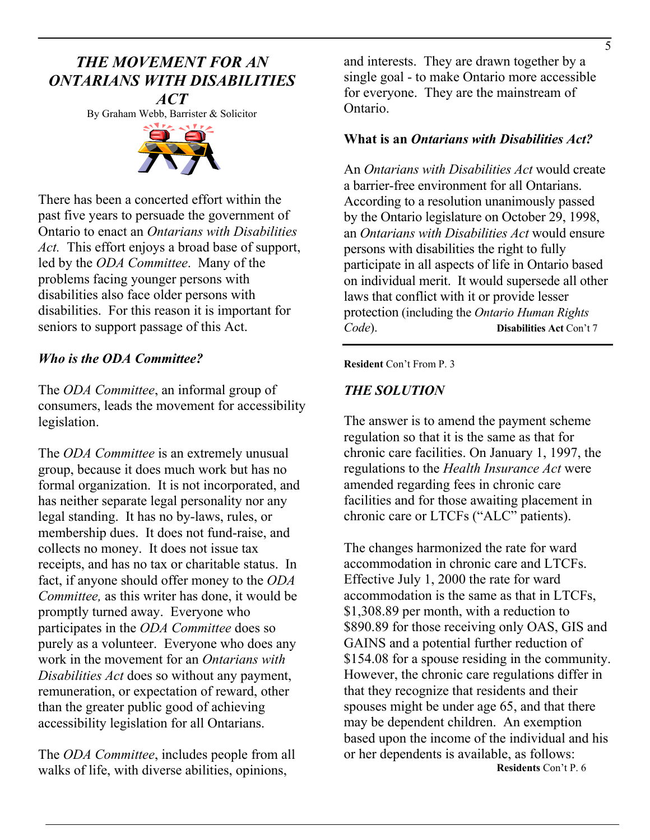### *THE MOVEMENT FOR AN ONTARIANS WITH DISABILITIES ACT*

By Graham Webb, Barrister & Solicitor



There has been a concerted effort within the past five years to persuade the government of Ontario to enact an *Ontarians with Disabilities Act.* This effort enjoys a broad base of support, led by the *ODA Committee*. Many of the problems facing younger persons with disabilities also face older persons with disabilities. For this reason it is important for seniors to support passage of this Act.

### *Who is the ODA Committee?*

The *ODA Committee*, an informal group of consumers, leads the movement for accessibility legislation.

The *ODA Committee* is an extremely unusual group, because it does much work but has no formal organization. It is not incorporated, and has neither separate legal personality nor any legal standing. It has no by-laws, rules, or membership dues. It does not fund-raise, and collects no money. It does not issue tax receipts, and has no tax or charitable status. In fact, if anyone should offer money to the *ODA Committee,* as this writer has done, it would be promptly turned away. Everyone who participates in the *ODA Committee* does so purely as a volunteer. Everyone who does any work in the movement for an *Ontarians with Disabilities Act* does so without any payment, remuneration, or expectation of reward, other than the greater public good of achieving accessibility legislation for all Ontarians.

The *ODA Committee*, includes people from all walks of life, with diverse abilities, opinions,

and interests. They are drawn together by a single goal - to make Ontario more accessible for everyone. They are the mainstream of Ontario.

### **What is an** *Ontarians with Disabilities Act?*

An *Ontarians with Disabilities Act* would create a barrier-free environment for all Ontarians. According to a resolution unanimously passed by the Ontario legislature on October 29, 1998, an *Ontarians with Disabilities Act* would ensure persons with disabilities the right to fully participate in all aspects of life in Ontario based on individual merit. It would supersede all other laws that conflict with it or provide lesser protection (including the *Ontario Human Rights Code*). **Disabilities Act** Con't 7

**Resident** Con't From P. 3

### *THE SOLUTION*

The answer is to amend the payment scheme regulation so that it is the same as that for chronic care facilities. On January 1, 1997, the regulations to the *Health Insurance Act* were amended regarding fees in chronic care facilities and for those awaiting placement in chronic care or LTCFs ("ALC" patients).

The changes harmonized the rate for ward accommodation in chronic care and LTCFs. Effective July 1, 2000 the rate for ward accommodation is the same as that in LTCFs, \$1,308.89 per month, with a reduction to \$890.89 for those receiving only OAS, GIS and GAINS and a potential further reduction of \$154.08 for a spouse residing in the community. However, the chronic care regulations differ in that they recognize that residents and their spouses might be under age 65, and that there may be dependent children. An exemption based upon the income of the individual and his or her dependents is available, as follows: **Residents** Con't P. 6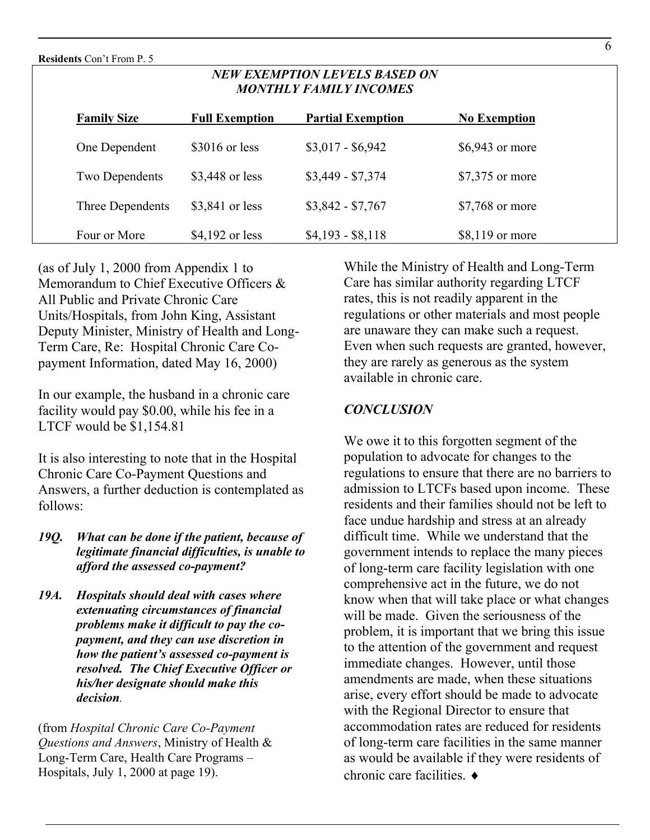| <b>NEW EXEMPTION LEVELS BASED ON</b><br><b>MONTHLY FAMILY INCOMES</b> |                       |                          |                     |  |
|-----------------------------------------------------------------------|-----------------------|--------------------------|---------------------|--|
| <b>Family Size</b>                                                    | <b>Full Exemption</b> | <b>Partial Exemption</b> | <b>No Exemption</b> |  |
| One Dependent                                                         | $$3016$ or less       | $$3,017 - $6,942$        | $$6,943$ or more    |  |
| Two Dependents                                                        | \$3,448 or less       | $$3,449 - $7,374$        | \$7,375 or more     |  |
| Three Dependents                                                      | \$3,841 or less       | $$3,842 - $7,767$        | \$7,768 or more     |  |
| Four or More                                                          | $$4,192$ or less      | $$4,193 - $8,118$        | \$8,119 or more     |  |

(as of July 1, 2000 from Appendix 1 to Memorandum to Chief Executive Officers & All Public and Private Chronic Care Units/Hospitals, from John King, Assistant Deputy Minister, Ministry of Health and Long-Term Care, Re: Hospital Chronic Care Copayment Information, dated May 16, 2000)

In our example, the husband in a chronic care facility would pay \$0.00, while his fee in a LTCF would be \$1,154.81

It is also interesting to note that in the Hospital Chronic Care Co-Payment Questions and Answers, a further deduction is contemplated as follows:

- *19Q. What can be done if the patient, because of legitimate financial difficulties, is unable to afford the assessed co-payment?*
- *19A. Hospitals should deal with cases where extenuating circumstances of financial problems make it difficult to pay the copayment, and they can use discretion in how the patient's assessed co-payment is resolved. The Chief Executive Officer or his/her designate should make this decision.*

(from *Hospital Chronic Care Co-Payment Questions and Answers*, Ministry of Health & Long-Term Care, Health Care Programs – Hospitals, July 1, 2000 at page 19).

While the Ministry of Health and Long-Term Care has similar authority regarding LTCF rates, this is not readily apparent in the regulations or other materials and most people are unaware they can make such a request. Even when such requests are granted, however, they are rarely as generous as the system available in chronic care.

### *CONCLUSION*

We owe it to this forgotten segment of the population to advocate for changes to the regulations to ensure that there are no barriers to admission to LTCFs based upon income. These residents and their families should not be left to face undue hardship and stress at an already difficult time. While we understand that the government intends to replace the many pieces of long-term care facility legislation with one comprehensive act in the future, we do not know when that will take place or what changes will be made. Given the seriousness of the problem, it is important that we bring this issue to the attention of the government and request immediate changes. However, until those amendments are made, when these situations arise, every effort should be made to advocate with the Regional Director to ensure that accommodation rates are reduced for residents of long-term care facilities in the same manner as would be available if they were residents of chronic care facilities. ♦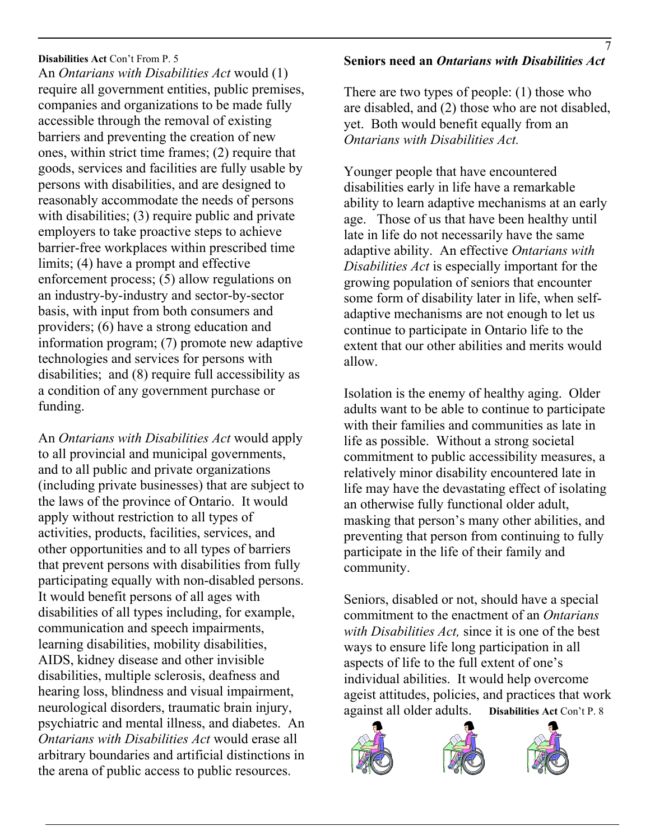An *Ontarians with Disabilities Act* would (1) require all government entities, public premises, companies and organizations to be made fully accessible through the removal of existing barriers and preventing the creation of new ones, within strict time frames; (2) require that goods, services and facilities are fully usable by persons with disabilities, and are designed to reasonably accommodate the needs of persons with disabilities; (3) require public and private employers to take proactive steps to achieve barrier-free workplaces within prescribed time limits; (4) have a prompt and effective enforcement process; (5) allow regulations on an industry-by-industry and sector-by-sector basis, with input from both consumers and providers; (6) have a strong education and information program; (7) promote new adaptive technologies and services for persons with disabilities; and (8) require full accessibility as a condition of any government purchase or funding.

An *Ontarians with Disabilities Act* would apply to all provincial and municipal governments, and to all public and private organizations (including private businesses) that are subject to the laws of the province of Ontario. It would apply without restriction to all types of activities, products, facilities, services, and other opportunities and to all types of barriers that prevent persons with disabilities from fully participating equally with non-disabled persons. It would benefit persons of all ages with disabilities of all types including, for example, communication and speech impairments, learning disabilities, mobility disabilities, AIDS, kidney disease and other invisible disabilities, multiple sclerosis, deafness and hearing loss, blindness and visual impairment, neurological disorders, traumatic brain injury, psychiatric and mental illness, and diabetes. An *Ontarians with Disabilities Act* would erase all arbitrary boundaries and artificial distinctions in the arena of public access to public resources.

### **Disabilities Act** Con't From P. 5 Seniors need an *Ontarians with Disabilities Act*

7

There are two types of people: (1) those who are disabled, and (2) those who are not disabled, yet. Both would benefit equally from an *Ontarians with Disabilities Act.*

Younger people that have encountered disabilities early in life have a remarkable ability to learn adaptive mechanisms at an early age. Those of us that have been healthy until late in life do not necessarily have the same adaptive ability. An effective *Ontarians with Disabilities Act* is especially important for the growing population of seniors that encounter some form of disability later in life, when selfadaptive mechanisms are not enough to let us continue to participate in Ontario life to the extent that our other abilities and merits would allow.

Isolation is the enemy of healthy aging. Older adults want to be able to continue to participate with their families and communities as late in life as possible. Without a strong societal commitment to public accessibility measures, a relatively minor disability encountered late in life may have the devastating effect of isolating an otherwise fully functional older adult, masking that person's many other abilities, and preventing that person from continuing to fully participate in the life of their family and community.

Seniors, disabled or not, should have a special commitment to the enactment of an *Ontarians with Disabilities Act,* since it is one of the best ways to ensure life long participation in all aspects of life to the full extent of one's individual abilities. It would help overcome ageist attitudes, policies, and practices that work against all older adults. **Disabilities Act** Con't P. 8

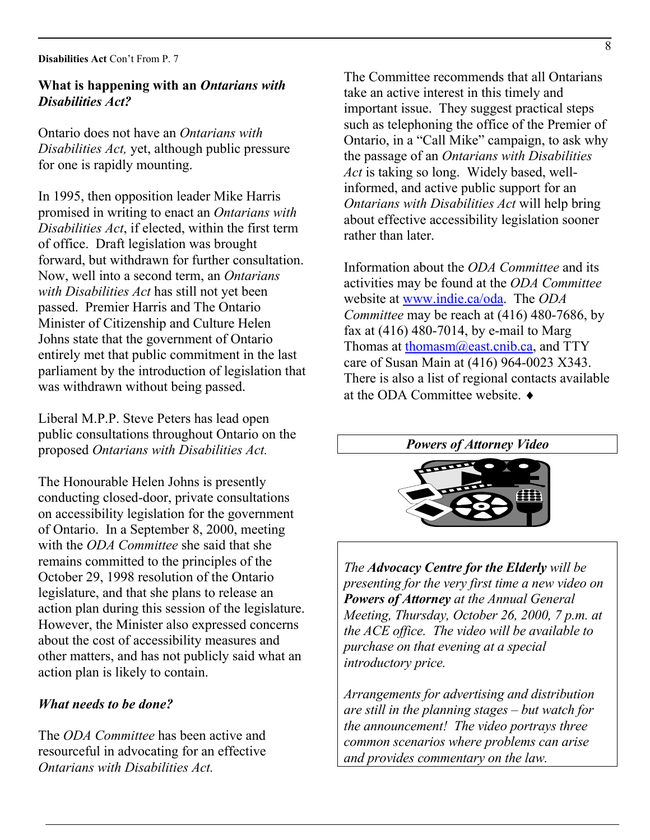### **Disabilities Act** Con't From P. 7

### **What is happening with an** *Ontarians with Disabilities Act?*

Ontario does not have an *Ontarians with Disabilities Act,* yet, although public pressure for one is rapidly mounting.

In 1995, then opposition leader Mike Harris promised in writing to enact an *Ontarians with Disabilities Act*, if elected, within the first term of office. Draft legislation was brought forward, but withdrawn for further consultation. Now, well into a second term, an *Ontarians with Disabilities Act* has still not yet been passed. Premier Harris and The Ontario Minister of Citizenship and Culture Helen Johns state that the government of Ontario entirely met that public commitment in the last parliament by the introduction of legislation that was withdrawn without being passed.

Liberal M.P.P. Steve Peters has lead open public consultations throughout Ontario on the proposed *Ontarians with Disabilities Act. Powers of Attorney Video* 

The Honourable Helen Johns is presently conducting closed-door, private consultations on accessibility legislation for the government of Ontario. In a September 8, 2000, meeting with the *ODA Committee* she said that she remains committed to the principles of the October 29, 1998 resolution of the Ontario legislature, and that she plans to release an action plan during this session of the legislature. However, the Minister also expressed concerns about the cost of accessibility measures and other matters, and has not publicly said what an action plan is likely to contain.

### *What needs to be done?*

The *ODA Committee* has been active and resourceful in advocating for an effective *Ontarians with Disabilities Act.*

The Committee recommends that all Ontarians take an active interest in this timely and important issue. They suggest practical steps such as telephoning the office of the Premier of Ontario, in a "Call Mike" campaign, to ask why the passage of an *Ontarians with Disabilities Act* is taking so long. Widely based, wellinformed, and active public support for an *Ontarians with Disabilities Act* will help bring about effective accessibility legislation sooner rather than later.

Information about the *ODA Committee* and its activities may be found at the *ODA Committee* website at [www.indie.ca/oda](http://www.indie.ca/oda). The *ODA Committee* may be reach at (416) 480-7686, by fax at (416) 480-7014, by e-mail to Marg Thomas at [thomasm@east.cnib.ca](mailto:thomasm@east.cnib.ca), and TTY care of Susan Main at (416) 964-0023 X343. There is also a list of regional contacts available at the ODA Committee website. ♦



*The Advocacy Centre for the Elderly will be presenting for the very first time a new video on Powers of Attorney at the Annual General Meeting, Thursday, October 26, 2000, 7 p.m. at the ACE office. The video will be available to purchase on that evening at a special introductory price.* 

*Arrangements for advertising and distribution are still in the planning stages – but watch for the announcement! The video portrays three common scenarios where problems can arise and provides commentary on the law.*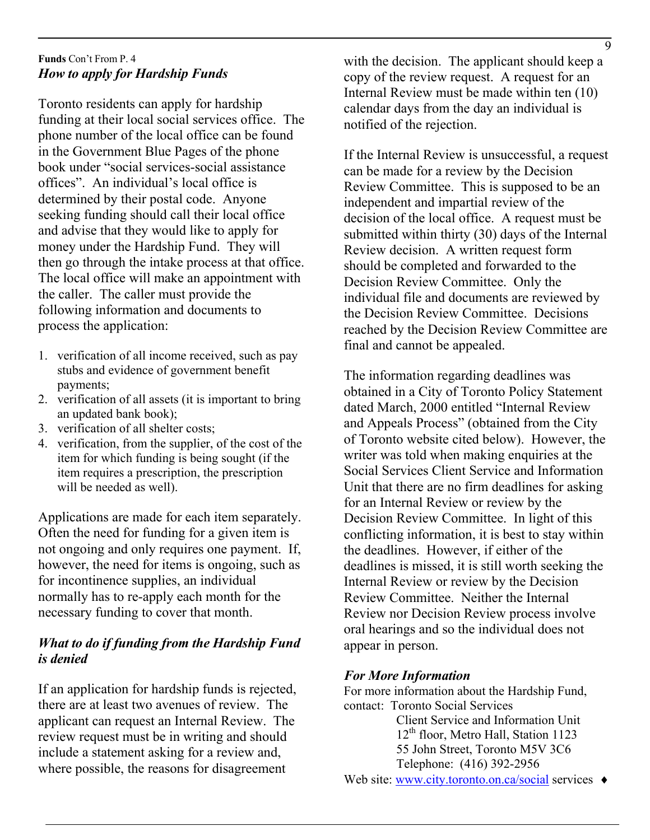### **Funds** Con't From P. 4 *How to apply for Hardship Funds*

Toronto residents can apply for hardship funding at their local social services office. The phone number of the local office can be found in the Government Blue Pages of the phone book under "social services-social assistance offices". An individual's local office is determined by their postal code. Anyone seeking funding should call their local office and advise that they would like to apply for money under the Hardship Fund. They will then go through the intake process at that office. The local office will make an appointment with the caller. The caller must provide the following information and documents to process the application:

- 1. verification of all income received, such as pay stubs and evidence of government benefit payments;
- 2. verification of all assets (it is important to bring an updated bank book);
- 3. verification of all shelter costs;
- 4. verification, from the supplier, of the cost of the item for which funding is being sought (if the item requires a prescription, the prescription will be needed as well).

Applications are made for each item separately. Often the need for funding for a given item is not ongoing and only requires one payment. If, however, the need for items is ongoing, such as for incontinence supplies, an individual normally has to re-apply each month for the necessary funding to cover that month.

### *What to do if funding from the Hardship Fund is denied*

If an application for hardship funds is rejected, there are at least two avenues of review. The applicant can request an Internal Review. The review request must be in writing and should include a statement asking for a review and, where possible, the reasons for disagreement

with the decision. The applicant should keep a copy of the review request. A request for an Internal Review must be made within ten (10) calendar days from the day an individual is notified of the rejection.

If the Internal Review is unsuccessful, a request can be made for a review by the Decision Review Committee. This is supposed to be an independent and impartial review of the decision of the local office. A request must be submitted within thirty (30) days of the Internal Review decision. A written request form should be completed and forwarded to the Decision Review Committee. Only the individual file and documents are reviewed by the Decision Review Committee. Decisions reached by the Decision Review Committee are final and cannot be appealed.

The information regarding deadlines was obtained in a City of Toronto Policy Statement dated March, 2000 entitled "Internal Review and Appeals Process" (obtained from the City of Toronto website cited below). However, the writer was told when making enquiries at the Social Services Client Service and Information Unit that there are no firm deadlines for asking for an Internal Review or review by the Decision Review Committee. In light of this conflicting information, it is best to stay within the deadlines. However, if either of the deadlines is missed, it is still worth seeking the Internal Review or review by the Decision Review Committee. Neither the Internal Review nor Decision Review process involve oral hearings and so the individual does not appear in person.

### *For More Information*

For more information about the Hardship Fund, contact: Toronto Social Services Client Service and Information Unit 12<sup>th</sup> floor, Metro Hall, Station 1123 55 John Street, Toronto M5V 3C6

Telephone: (416) 392-2956

Web site: [www.city.toronto.on.ca/social](http://www.city.toronto.on.ca/social) services  $\triangleleft$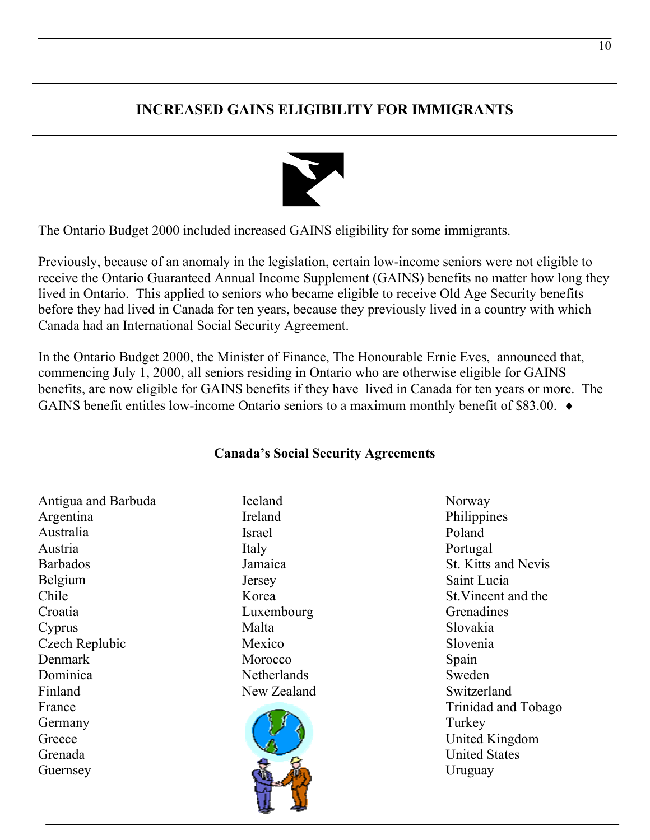### **INCREASED GAINS ELIGIBILITY FOR IMMIGRANTS**



The Ontario Budget 2000 included increased GAINS eligibility for some immigrants.

Previously, because of an anomaly in the legislation, certain low-income seniors were not eligible to receive the Ontario Guaranteed Annual Income Supplement (GAINS) benefits no matter how long they lived in Ontario. This applied to seniors who became eligible to receive Old Age Security benefits before they had lived in Canada for ten years, because they previously lived in a country with which Canada had an International Social Security Agreement.

In the Ontario Budget 2000, the Minister of Finance, The Honourable Ernie Eves, announced that, commencing July 1, 2000, all seniors residing in Ontario who are otherwise eligible for GAINS benefits, are now eligible for GAINS benefits if they have lived in Canada for ten years or more. The GAINS benefit entitles low-income Ontario seniors to a maximum monthly benefit of \$83.00. ♦

### **Canada's Social Security Agreements**

Antigua and Barbuda Argentina Australia Austria Barbados Belgium Chile Croatia Cyprus Czech Replubic Denmark Dominica Finland France Germany **Greece** Grenada Guernsey

Iceland Ireland Israel Italy Jamaica Jersey Korea Luxembourg Malta Mexico Morocco Netherlands New Zealand



Norway Philippines Poland Portugal St. Kitts and Nevis Saint Lucia St.Vincent and the Grenadines Slovakia Slovenia Spain Sweden Switzerland Trinidad and Tobago **Turkey** United Kingdom United States Uruguay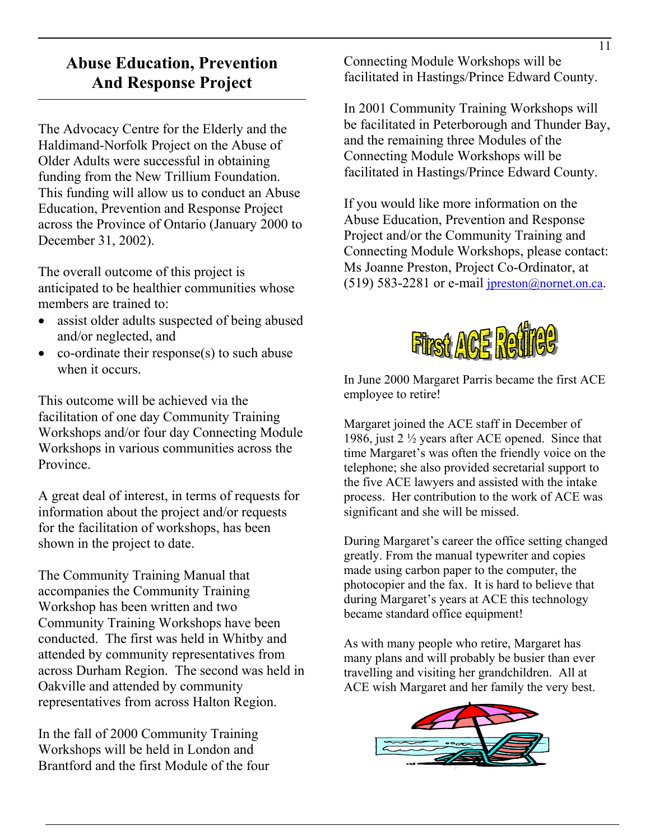### **Abuse Education, Prevention And Response Project**

The Advocacy Centre for the Elderly and the Haldimand-Norfolk Project on the Abuse of Older Adults were successful in obtaining funding from the New Trillium Foundation. This funding will allow us to conduct an Abuse Education, Prevention and Response Project across the Province of Ontario (January 2000 to December 31, 2002).

The overall outcome of this project is anticipated to be healthier communities whose members are trained to:

- assist older adults suspected of being abused and/or neglected, and
- co-ordinate their response(s) to such abuse when it occurs.

This outcome will be achieved via the facilitation of one day Community Training Workshops and/or four day Connecting Module Workshops in various communities across the Province.

A great deal of interest, in terms of requests for information about the project and/or requests for the facilitation of workshops, has been shown in the project to date.

The Community Training Manual that accompanies the Community Training Workshop has been written and two Community Training Workshops have been conducted. The first was held in Whitby and attended by community representatives from across Durham Region. The second was held in Oakville and attended by community representatives from across Halton Region.

In the fall of 2000 Community Training Workshops will be held in London and Brantford and the first Module of the four Connecting Module Workshops will be facilitated in Hastings/Prince Edward County.

In 2001 Community Training Workshops will be facilitated in Peterborough and Thunder Bay, and the remaining three Modules of the Connecting Module Workshops will be facilitated in Hastings/Prince Edward County.

If you would like more information on the Abuse Education, Prevention and Response Project and/or the Community Training and Connecting Module Workshops, please contact: Ms Joanne Preston, Project Co-Ordinator, at (519) 583-2281 or e-mail  $\frac{1}{\text{precision}(a)}$  nornet.on.ca.



In June 2000 Margaret Parris became the first ACE employee to retire!

Margaret joined the ACE staff in December of 1986, just 2 ½ years after ACE opened. Since that time Margaret's was often the friendly voice on the telephone; she also provided secretarial support to the five ACE lawyers and assisted with the intake process. Her contribution to the work of ACE was significant and she will be missed.

During Margaret's career the office setting changed greatly. From the manual typewriter and copies made using carbon paper to the computer, the photocopier and the fax. It is hard to believe that during Margaret's years at ACE this technology became standard office equipment!

As with many people who retire, Margaret has many plans and will probably be busier than ever travelling and visiting her grandchildren. All at ACE wish Margaret and her family the very best.